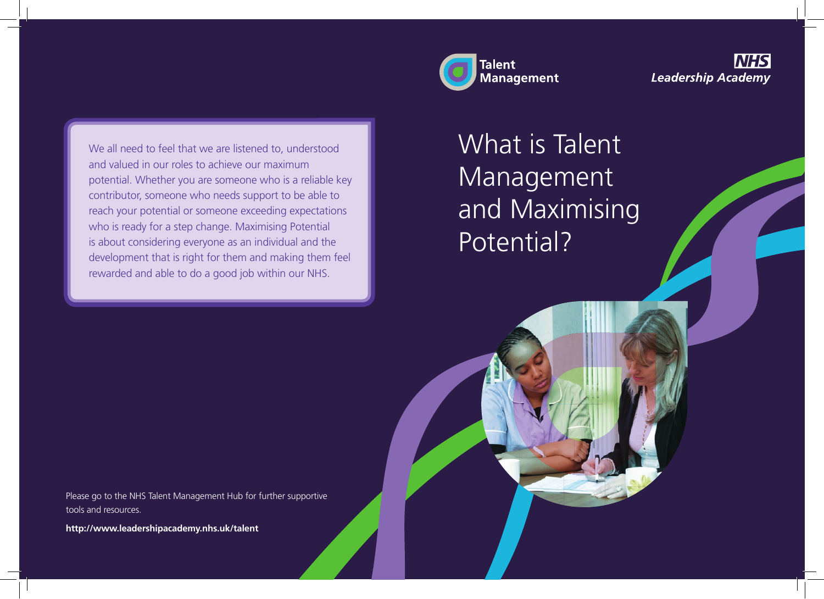

**Leadership Academy** 

We all need to feel that we are listened to, understood and valued in our roles to achieve our maximum potential. Whether you are someone who is a reliable key contributor, someone who needs support to be able to reach your potential or someone exceeding expectations who is ready for a step change. Maximising Potential is about considering everyone as an individual and the development that is right for them and making them feel rewarded and able to do a good job within our NHS.

## What is Talent Management and Maximising Potential?

Please go to the NHS Talent Management Hub for further supportive tools and resources.

**http://www.leadershipacademy.nhs.uk/talent**